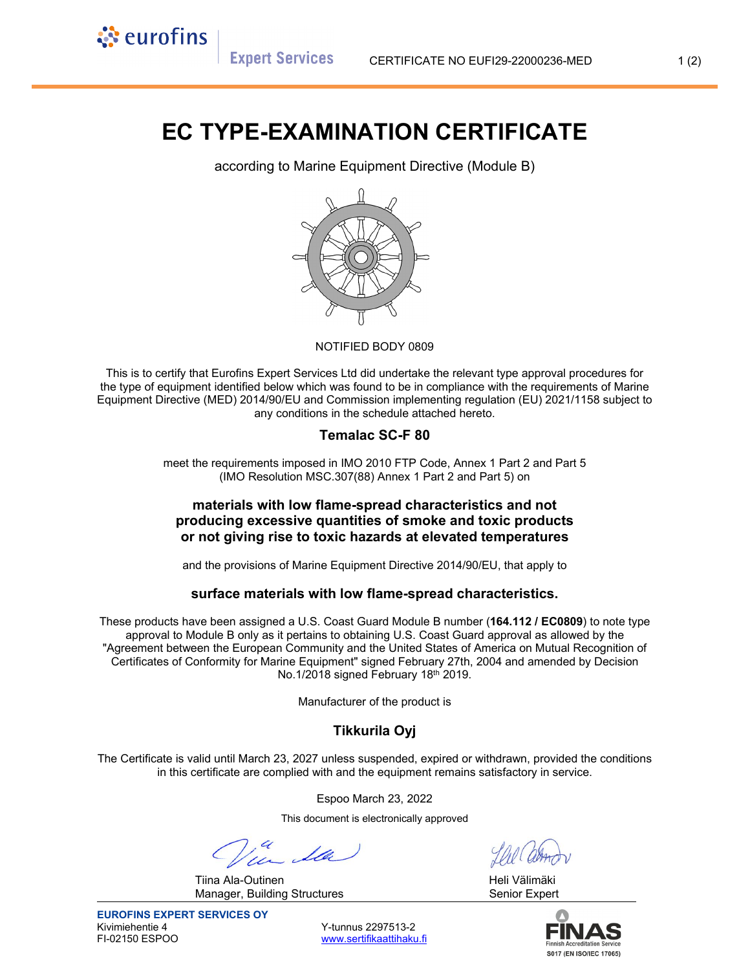**Expert Services** 

ं eurofins

# **EC TYPE-EXAMINATION CERTIFICATE**

according to Marine Equipment Directive (Module B)



#### NOTIFIED BODY 0809

This is to certify that Eurofins Expert Services Ltd did undertake the relevant type approval procedures for the type of equipment identified below which was found to be in compliance with the requirements of Marine Equipment Directive (MED) 2014/90/EU and Commission implementing regulation (EU) 2021/1158 subject to any conditions in the schedule attached hereto.

### **Temalac SC-F 80**

meet the requirements imposed in IMO 2010 FTP Code, Annex 1 Part 2 and Part 5 (IMO Resolution MSC.307(88) Annex 1 Part 2 and Part 5) on

### **materials with low flame-spread characteristics and not producing excessive quantities of smoke and toxic products or not giving rise to toxic hazards at elevated temperatures**

and the provisions of Marine Equipment Directive 2014/90/EU, that apply to

#### **surface materials with low flame-spread characteristics.**

These products have been assigned a U.S. Coast Guard Module B number (**164.112 / EC0809**) to note type approval to Module B only as it pertains to obtaining U.S. Coast Guard approval as allowed by the "Agreement between the European Community and the United States of America on Mutual Recognition of Certificates of Conformity for Marine Equipment" signed February 27th, 2004 and amended by Decision No.1/2018 signed February 18th 2019.

Manufacturer of the product is

## **Tikkurila Oyj**

The Certificate is valid until March 23, 2027 unless suspended, expired or withdrawn, provided the conditions in this certificate are complied with and the equipment remains satisfactory in service.

Espoo March 23, 2022

This document is electronically approved

Tiina Ala-Outinen Heli Välimäki Manager, Building Structures **Senior Expert** Senior Expert



www.sertifikaattihaku.fi